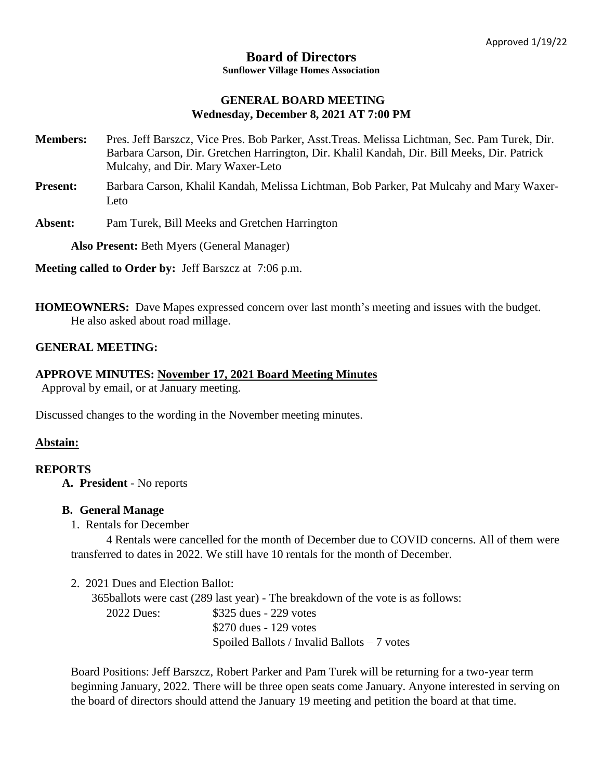#### **Board of Directors Sunflower Village Homes Association**

### **GENERAL BOARD MEETING Wednesday, December 8, 2021 AT 7:00 PM**

- **Members:** Pres. Jeff Barszcz, Vice Pres. Bob Parker, Asst.Treas. Melissa Lichtman, Sec. Pam Turek, Dir. Barbara Carson, Dir. Gretchen Harrington, Dir. Khalil Kandah, Dir. Bill Meeks, Dir. Patrick Mulcahy, and Dir. Mary Waxer-Leto
- **Present:** Barbara Carson, Khalil Kandah, Melissa Lichtman, Bob Parker, Pat Mulcahy and Mary Waxer-Leto
- **Absent:** Pam Turek, Bill Meeks and Gretchen Harrington

**Also Present:** Beth Myers (General Manager)

**Meeting called to Order by:** Jeff Barszcz at 7:06 p.m.

**HOMEOWNERS:** Dave Mapes expressed concern over last month's meeting and issues with the budget. He also asked about road millage.

## **GENERAL MEETING:**

## **APPROVE MINUTES: November 17, 2021 Board Meeting Minutes**

Approval by email, or at January meeting.

Discussed changes to the wording in the November meeting minutes.

### **Abstain:**

### **REPORTS**

**A. President** - No reports

### **B. General Manage**

1. Rentals for December

4 Rentals were cancelled for the month of December due to COVID concerns. All of them were transferred to dates in 2022. We still have 10 rentals for the month of December.

2. 2021 Dues and Election Ballot:

 365ballots were cast (289 last year) - The breakdown of the vote is as follows: 2022 Dues: \$325 dues - 229 votes \$270 dues - 129 votes Spoiled Ballots / Invalid Ballots – 7 votes

Board Positions: Jeff Barszcz, Robert Parker and Pam Turek will be returning for a two-year term beginning January, 2022. There will be three open seats come January. Anyone interested in serving on the board of directors should attend the January 19 meeting and petition the board at that time.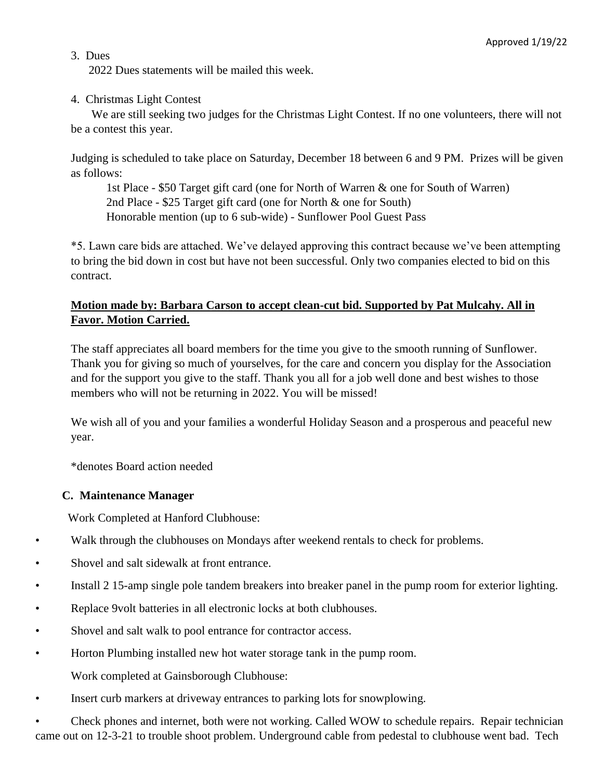### 3. Dues

2022 Dues statements will be mailed this week.

### 4. Christmas Light Contest

 We are still seeking two judges for the Christmas Light Contest. If no one volunteers, there will not be a contest this year.

Judging is scheduled to take place on Saturday, December 18 between 6 and 9 PM. Prizes will be given as follows:

1st Place - \$50 Target gift card (one for North of Warren & one for South of Warren) 2nd Place - \$25 Target gift card (one for North & one for South) Honorable mention (up to 6 sub-wide) - Sunflower Pool Guest Pass

\*5. Lawn care bids are attached. We've delayed approving this contract because we've been attempting to bring the bid down in cost but have not been successful. Only two companies elected to bid on this contract.

# **Motion made by: Barbara Carson to accept clean-cut bid. Supported by Pat Mulcahy. All in Favor. Motion Carried.**

The staff appreciates all board members for the time you give to the smooth running of Sunflower. Thank you for giving so much of yourselves, for the care and concern you display for the Association and for the support you give to the staff. Thank you all for a job well done and best wishes to those members who will not be returning in 2022. You will be missed!

We wish all of you and your families a wonderful Holiday Season and a prosperous and peaceful new year.

\*denotes Board action needed

## **C. Maintenance Manager**

Work Completed at Hanford Clubhouse:

- Walk through the clubhouses on Mondays after weekend rentals to check for problems.
- Shovel and salt sidewalk at front entrance.
- Install 2 15-amp single pole tandem breakers into breaker panel in the pump room for exterior lighting.
- Replace 9volt batteries in all electronic locks at both clubhouses.
- Shovel and salt walk to pool entrance for contractor access.
- Horton Plumbing installed new hot water storage tank in the pump room. Work completed at Gainsborough Clubhouse:
- 
- Insert curb markers at driveway entrances to parking lots for snowplowing.

• Check phones and internet, both were not working. Called WOW to schedule repairs. Repair technician came out on 12-3-21 to trouble shoot problem. Underground cable from pedestal to clubhouse went bad. Tech